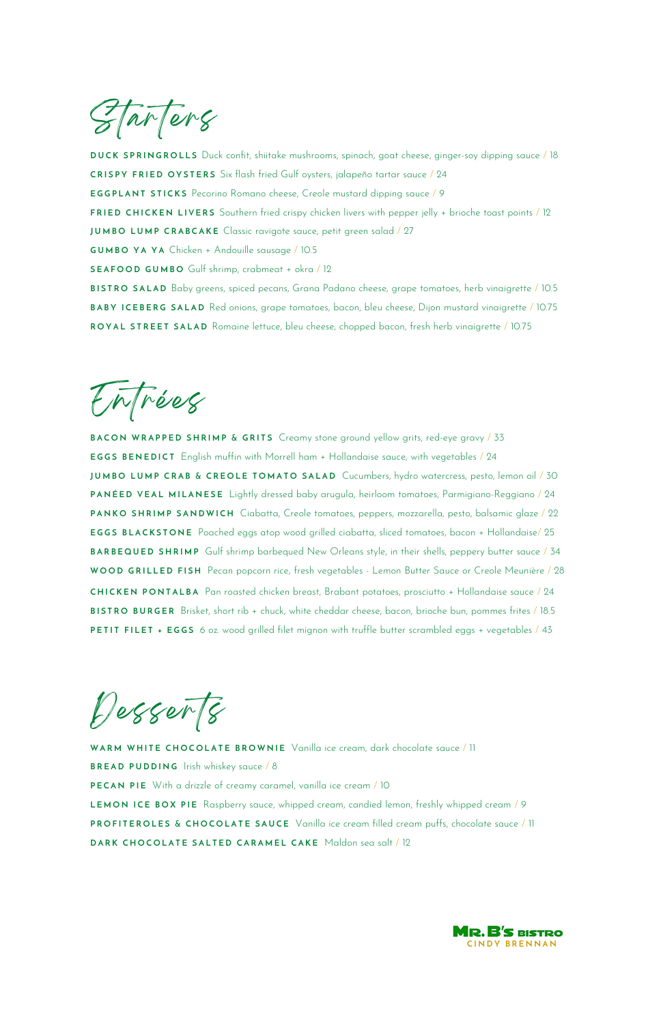Tarters

**D U C K S P R I N G R O L L S** Duck confit, shiitake mushrooms, spinach, goat cheese, ginger-soy dipping sauce / 18 **CRISPY FRIED OYSTERS** Six flash fried Gulf oysters, jalapeño tartar sauce / 24 **EGGPLANT STICKS** Pecorino Romano cheese, Creole mustard dipping sauce / 9 **FRIED CHICKEN LIVERS** Southern fried crispy chicken livers with pepper jelly + brioche toast points / 12 **JUMBO LUMP CRABCAKE** Classic ravigote sauce, petit green salad / 27 **G U M B O Y A Y A** Chicken + Andouille sausage / 10.5 **S E A F O O D G U M B O** Gulf shrimp, crabmeat + okra / 12 **B I S T R O S A L A D** Baby greens, spiced pecans, Grana Padano cheese, grape tomatoes, herb vinaigrette / 10.5 **BABY ICEBERG SALAD** Red onions, grape tomatoes, bacon, bleu cheese, Dijon mustard vinaigrette / 10.75 ROYAL STREET SALAD Romaine lettuce, bleu cheese, chopped bacon, fresh herb vinaigrette / 10.75

EnTrées

**BACON WRAPPED SHRIMP & GRITS** Creamy stone ground yellow grits, red-eye gravy / 33 **EGGS BENEDICT** English muffin with Morrell ham + Hollandaise sauce, with vegetables / 24 **JUMBO LUMP CRAB & CREOLE TOMATO SALAD** Cucumbers, hydro watercress, pesto, lemon oil / 30 **P A N É E D V E A L M I L A N E S E** Lightly dressed baby arugula, heirloom tomatoes, Parmigiano-Reggiano / 24 **PANKO SHRIMP SANDWICH** Ciabatta, Creole tomatoes, peppers, mozzarella, pesto, balsamic glaze / 22 **EGGS BLACKSTONE** Poached eggs atop wood grilled ciabatta, sliced tomatoes, bacon + Hollandaise/ 25 **BARBEQUED SHRIMP** Gulf shrimp barbequed New Orleans style, in their shells, peppery butter sauce / 34 WOOD GRILLED FISH Pecan popcorn rice, fresh vegetables - Lemon Butter Sauce or Creole Meunière / 28 **C H I C K E N P O N T A L B A** Pan roasted chicken breast, Brabant potatoes, prosciutto + Hollandaise sauce / 24 **B I S T R O B U R G E R** Brisket, short rib + chuck, white cheddar cheese, bacon, brioche bun, pommes frites / 18.5 **PETIT FILET + EGGS** 6 oz. wood grilled filet mignon with truffle butter scrambled eggs + vegetables / 43

Desserts

**W A R M W H I T E C H O C O L A T E B R O W N I E** Vanilla ice cream, dark chocolate sauce / 11

**BREAD PUDDING** Irish whiskey sauce / 8

**PECAN PIE** With a drizzle of creamy caramel, vanilla ice cream / 10

LEMON ICE BOX PIE Raspberry sauce, whipped cream, candied lemon, freshly whipped cream / 9 **PROFITEROLES & CHOCOLATE SAUCE** Vanilla ice cream filled cream puffs, chocolate sauce / 11

**DARK CHOCOLATE SALTED CARAMEL CAKE** Maldon sea salt / 12